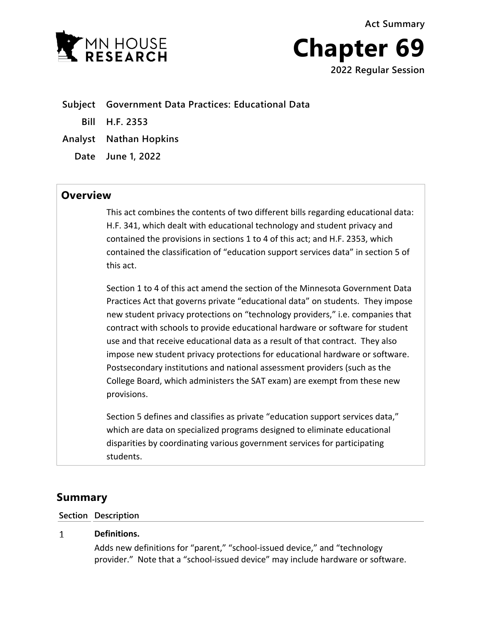**Act Summary**





**Subject Government Data Practices: Educational Data Bill H.F. 2353 Analyst Nathan Hopkins**

**Date June 1, 2022**

## **Overview**

This act combines the contents of two different bills regarding educational data: H.F. 341, which dealt with educational technology and student privacy and contained the provisions in sections 1 to 4 of this act; and H.F. 2353, which contained the classification of "education support services data" in section 5 of this act.

Section 1 to 4 of this act amend the section of the Minnesota Government Data Practices Act that governs private "educational data" on students. They impose new student privacy protections on "technology providers," i.e. companies that contract with schools to provide educational hardware or software for student use and that receive educational data as a result of that contract. They also impose new student privacy protections for educational hardware or software. Postsecondary institutions and national assessment providers (such as the College Board, which administers the SAT exam) are exempt from these new provisions.

Section 5 defines and classifies as private "education support services data," which are data on specialized programs designed to eliminate educational disparities by coordinating various government services for participating students.

# **Summary**

### **Section Description**

### $\mathbf{1}$ **Definitions.**

Adds new definitions for "parent," "school-issued device," and "technology provider." Note that a "school-issued device" may include hardware or software.